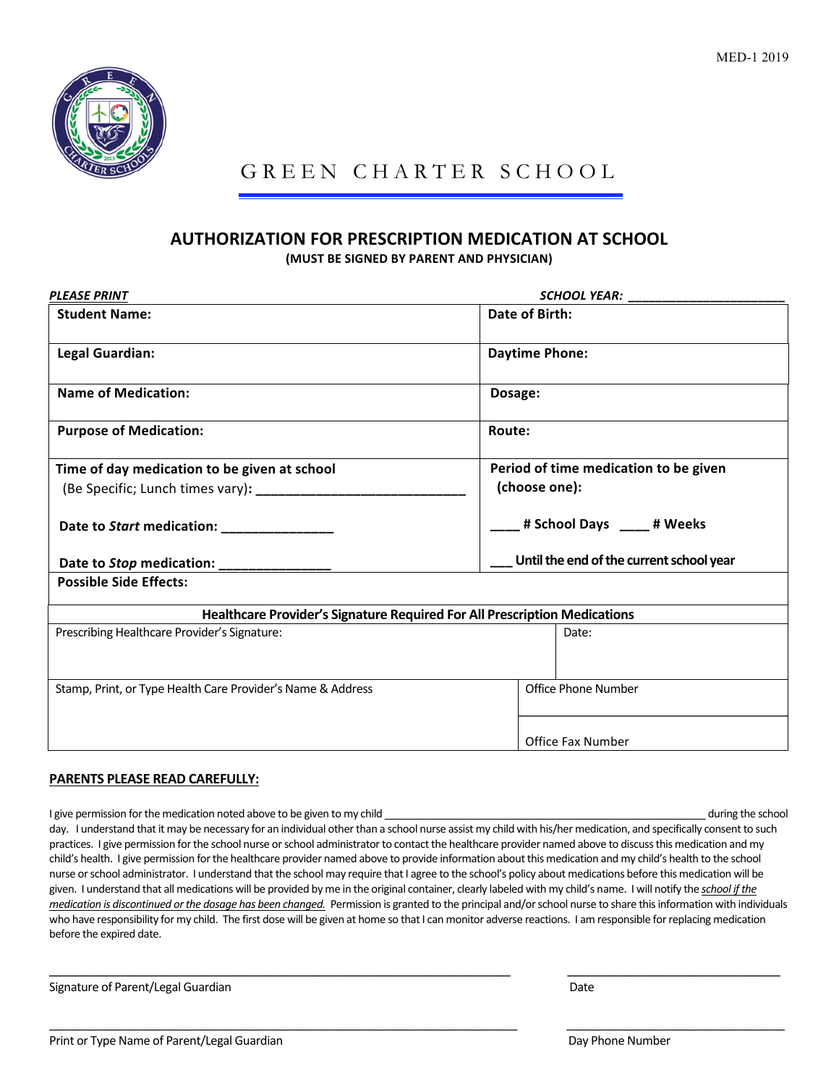

# GREEN CHARTER SCHOOL

### **AUTHORIZATION FOR PRESCRIPTION MEDICATION AT SCHOOL**

**(MUST BE SIGNED BY PARENT AND PHYSICIAN)** 

| <b>PLEASE PRINT</b>                                                       | SCHOOL YEAR:                             |
|---------------------------------------------------------------------------|------------------------------------------|
| <b>Student Name:</b>                                                      | Date of Birth:                           |
| Legal Guardian:                                                           | <b>Daytime Phone:</b>                    |
| <b>Name of Medication:</b>                                                | Dosage:                                  |
| <b>Purpose of Medication:</b>                                             | Route:                                   |
| Time of day medication to be given at school                              | Period of time medication to be given    |
|                                                                           | (choose one):                            |
| Date to Start medication: _______________                                 | # School Days ____ # Weeks               |
| Date to Stop medication: _______________                                  | Until the end of the current school year |
| <b>Possible Side Effects:</b>                                             |                                          |
| Healthcare Provider's Signature Required For All Prescription Medications |                                          |
| Prescribing Healthcare Provider's Signature:                              | Date:                                    |
| Stamp, Print, or Type Health Care Provider's Name & Address               | Office Phone Number                      |
|                                                                           | <b>Office Fax Number</b>                 |

#### **PARENTS PLEASE READ CAREFULLY:**

I give permission for the medication noted above to be given to my child \_\_\_\_\_\_\_\_\_\_\_\_\_\_\_\_\_\_\_\_\_\_\_\_\_\_\_\_\_\_\_\_\_\_\_\_\_\_\_\_\_\_\_\_\_\_\_\_\_\_\_\_\_\_\_\_ during the school day. I understand that it may be necessary for an individual other than a school nurse assist my child with his/her medication, and specifically consent to such practices. I give permission for the school nurse or school administrator to contact the healthcare provider named above to discuss this medication and my child's health. I give permission for the healthcare provider named above to provide information about this medication and my child's health to the school nurse or school administrator. I understand that the school may require that I agree to the school's policy about medications before this medication will be given. I understand that all medications will be provided by me in the original container, clearly labeled with my child's name. I will notify the school if the *medication is discontinued or the dosage has been changed.* Permission is granted to the principal and/or school nurse to share this information with individuals who have responsibility for my child. The first dose will be given at home so that I can monitor adverse reactions. I am responsible for replacing medication before the expired date.

\_\_\_\_\_\_\_\_\_\_\_\_\_\_\_\_\_\_\_\_\_\_\_\_\_\_\_\_\_\_\_\_\_\_\_\_\_\_\_\_\_\_\_\_\_\_\_\_\_\_\_\_\_\_\_\_\_\_\_\_\_\_\_\_\_ \_\_\_\_\_\_\_\_\_\_\_\_\_\_\_\_\_\_\_\_\_\_\_\_\_\_\_\_\_\_

 $\_$  , and the set of the set of the set of the set of the set of the set of the set of the set of the set of the set of the set of the set of the set of the set of the set of the set of the set of the set of the set of th

Signature of Parent/Legal Guardian Date

Print or Type Name of Parent/Legal Guardian Day Phone Number